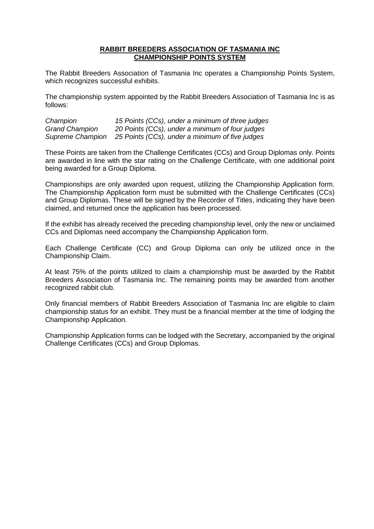## **RABBIT BREEDERS ASSOCIATION OF TASMANIA INC CHAMPIONSHIP POINTS SYSTEM**

The Rabbit Breeders Association of Tasmania Inc operates a Championship Points System, which recognizes successful exhibits.

The championship system appointed by the Rabbit Breeders Association of Tasmania Inc is as follows:

| Champion              | 15 Points (CCs), under a minimum of three judges |
|-----------------------|--------------------------------------------------|
| <b>Grand Champion</b> | 20 Points (CCs), under a minimum of four judges  |
| Supreme Champion      | 25 Points (CCs), under a minimum of five judges  |

These Points are taken from the Challenge Certificates (CCs) and Group Diplomas only. Points are awarded in line with the star rating on the Challenge Certificate, with one additional point being awarded for a Group Diploma.

Championships are only awarded upon request, utilizing the Championship Application form. The Championship Application form must be submitted with the Challenge Certificates (CCs) and Group Diplomas. These will be signed by the Recorder of Titles, indicating they have been claimed, and returned once the application has been processed.

If the exhibit has already received the preceding championship level, only the new or unclaimed CCs and Diplomas need accompany the Championship Application form.

Each Challenge Certificate (CC) and Group Diploma can only be utilized once in the Championship Claim.

At least 75% of the points utilized to claim a championship must be awarded by the Rabbit Breeders Association of Tasmania Inc. The remaining points may be awarded from another recognized rabbit club.

Only financial members of Rabbit Breeders Association of Tasmania Inc are eligible to claim championship status for an exhibit. They must be a financial member at the time of lodging the Championship Application.

Championship Application forms can be lodged with the Secretary, accompanied by the original Challenge Certificates (CCs) and Group Diplomas.